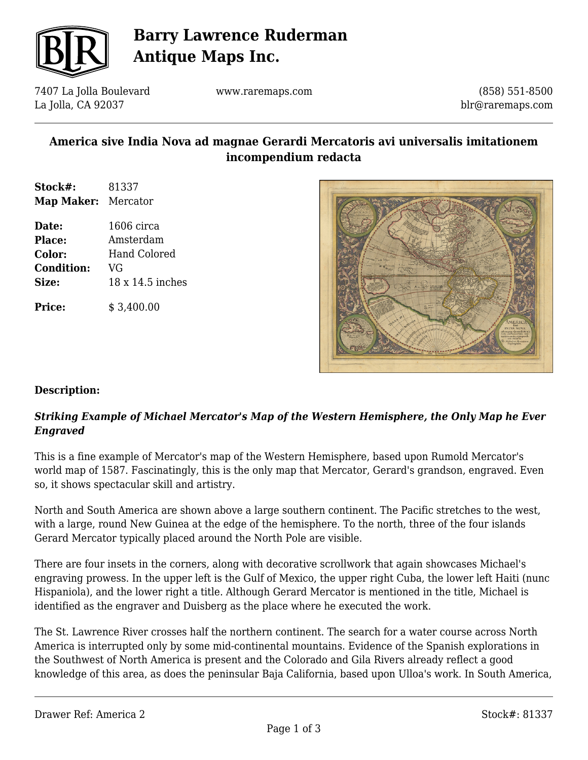

## **Barry Lawrence Ruderman Antique Maps Inc.**

7407 La Jolla Boulevard La Jolla, CA 92037

www.raremaps.com

(858) 551-8500 blr@raremaps.com

## **America sive India Nova ad magnae Gerardi Mercatoris avi universalis imitationem incompendium redacta**

- **Stock#:** 81337 **Map Maker:** Mercator
- **Date:** 1606 circa **Place:** Amsterdam **Color:** Hand Colored **Condition:** VG **Size:** 18 x 14.5 inches

**Price:**  $$3.400.00$ 



### **Description:**

### *Striking Example of Michael Mercator's Map of the Western Hemisphere, the Only Map he Ever Engraved*

This is a fine example of Mercator's map of the Western Hemisphere, based upon Rumold Mercator's world map of 1587. Fascinatingly, this is the only map that Mercator, Gerard's grandson, engraved. Even so, it shows spectacular skill and artistry.

North and South America are shown above a large southern continent. The Pacific stretches to the west, with a large, round New Guinea at the edge of the hemisphere. To the north, three of the four islands Gerard Mercator typically placed around the North Pole are visible.

There are four insets in the corners, along with decorative scrollwork that again showcases Michael's engraving prowess. In the upper left is the Gulf of Mexico, the upper right Cuba, the lower left Haiti (nunc Hispaniola), and the lower right a title. Although Gerard Mercator is mentioned in the title, Michael is identified as the engraver and Duisberg as the place where he executed the work.

The St. Lawrence River crosses half the northern continent. The search for a water course across North America is interrupted only by some mid-continental mountains. Evidence of the Spanish explorations in the Southwest of North America is present and the Colorado and Gila Rivers already reflect a good knowledge of this area, as does the peninsular Baja California, based upon Ulloa's work. In South America,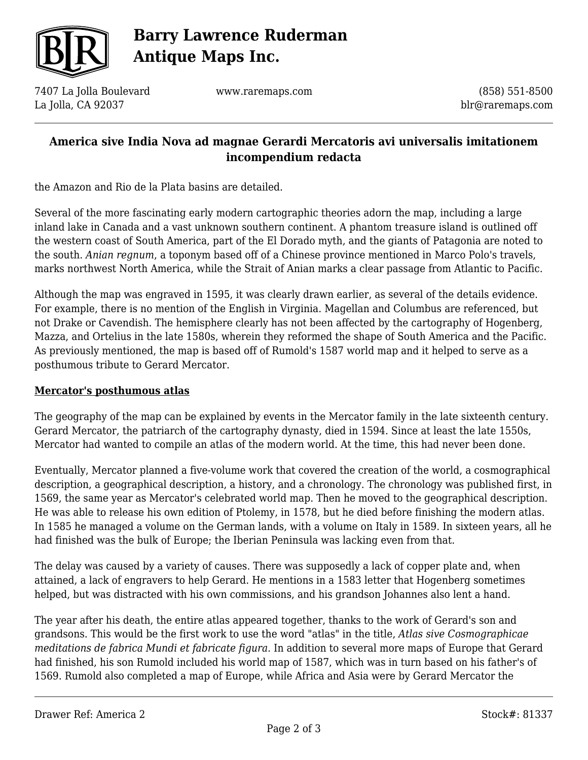

# **Barry Lawrence Ruderman Antique Maps Inc.**

7407 La Jolla Boulevard La Jolla, CA 92037

www.raremaps.com

(858) 551-8500 blr@raremaps.com

## **America sive India Nova ad magnae Gerardi Mercatoris avi universalis imitationem incompendium redacta**

the Amazon and Rio de la Plata basins are detailed.

Several of the more fascinating early modern cartographic theories adorn the map, including a large inland lake in Canada and a vast unknown southern continent. A phantom treasure island is outlined off the western coast of South America, part of the El Dorado myth, and the giants of Patagonia are noted to the south. *Anian regnum*, a toponym based off of a Chinese province mentioned in Marco Polo's travels, marks northwest North America, while the Strait of Anian marks a clear passage from Atlantic to Pacific.

Although the map was engraved in 1595, it was clearly drawn earlier, as several of the details evidence. For example, there is no mention of the English in Virginia. Magellan and Columbus are referenced, but not Drake or Cavendish. The hemisphere clearly has not been affected by the cartography of Hogenberg, Mazza, and Ortelius in the late 1580s, wherein they reformed the shape of South America and the Pacific. As previously mentioned, the map is based off of Rumold's 1587 world map and it helped to serve as a posthumous tribute to Gerard Mercator.

### **Mercator's posthumous atlas**

The geography of the map can be explained by events in the Mercator family in the late sixteenth century. Gerard Mercator, the patriarch of the cartography dynasty, died in 1594. Since at least the late 1550s, Mercator had wanted to compile an atlas of the modern world. At the time, this had never been done.

Eventually, Mercator planned a five-volume work that covered the creation of the world, a cosmographical description, a geographical description, a history, and a chronology. The chronology was published first, in 1569, the same year as Mercator's celebrated world map. Then he moved to the geographical description. He was able to release his own edition of Ptolemy, in 1578, but he died before finishing the modern atlas. In 1585 he managed a volume on the German lands, with a volume on Italy in 1589. In sixteen years, all he had finished was the bulk of Europe; the Iberian Peninsula was lacking even from that.

The delay was caused by a variety of causes. There was supposedly a lack of copper plate and, when attained, a lack of engravers to help Gerard. He mentions in a 1583 letter that Hogenberg sometimes helped, but was distracted with his own commissions, and his grandson Johannes also lent a hand.

The year after his death, the entire atlas appeared together, thanks to the work of Gerard's son and grandsons. This would be the first work to use the word "atlas" in the title, *Atlas sive Cosmographicae meditations de fabrica Mundi et fabricate figura.* In addition to several more maps of Europe that Gerard had finished, his son Rumold included his world map of 1587, which was in turn based on his father's of 1569. Rumold also completed a map of Europe, while Africa and Asia were by Gerard Mercator the